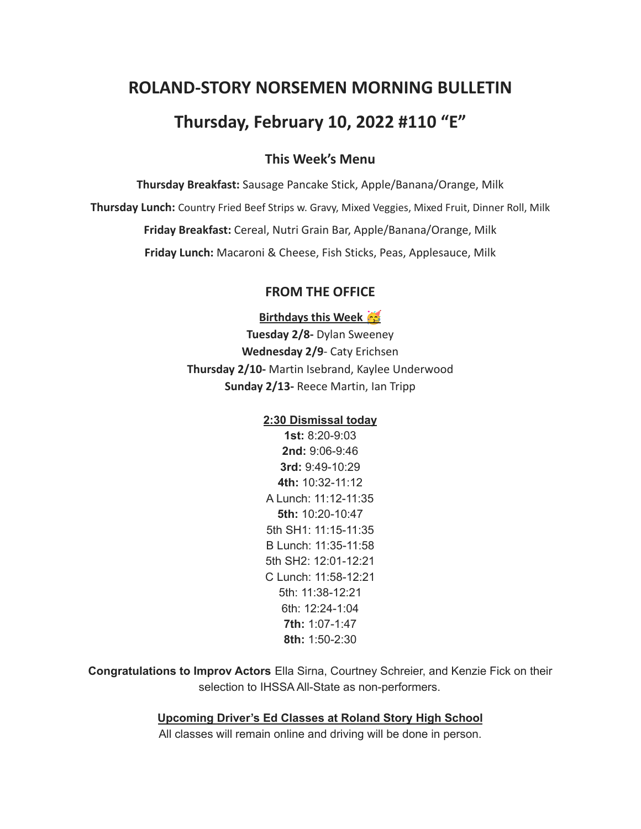# **ROLAND-STORY NORSEMEN MORNING BULLETIN**

# **Thursday, February 10, 2022 #110 "E"**

### **This Week's Menu**

**Thursday Breakfast:** Sausage Pancake Stick, Apple/Banana/Orange, Milk **Thursday Lunch:** Country Fried Beef Strips w. Gravy, Mixed Veggies, Mixed Fruit, Dinner Roll, Milk **Friday Breakfast:** Cereal, Nutri Grain Bar, Apple/Banana/Orange, Milk **Friday Lunch:** Macaroni & Cheese, Fish Sticks, Peas, Applesauce, Milk

#### **FROM THE OFFICE**

**Birthdays this Week** 

**Tuesday 2/8-** Dylan Sweeney **Wednesday 2/9**- Caty Erichsen **Thursday 2/10-** Martin Isebrand, Kaylee Underwood **Sunday 2/13-** Reece Martin, Ian Tripp

#### **2:30 Dismissal today**

**1st:** 8:20-9:03 **2nd:** 9:06-9:46 **3rd:** 9:49-10:29 **4th:** 10:32-11:12 A Lunch: 11:12-11:35 **5th:** 10:20-10:47 5th SH1: 11:15-11:35 B Lunch: 11:35-11:58 5th SH2: 12:01-12:21 C Lunch: 11:58-12:21 5th: 11:38-12:21 6th: 12:24-1:04 **7th:** 1:07-1:47 **8th:** 1:50-2:30

**Congratulations to Improv Actors** Ella Sirna, Courtney Schreier, and Kenzie Fick on their selection to IHSSA All-State as non-performers.

**Upcoming Driver's Ed Classes at Roland Story High School**

All classes will remain online and driving will be done in person.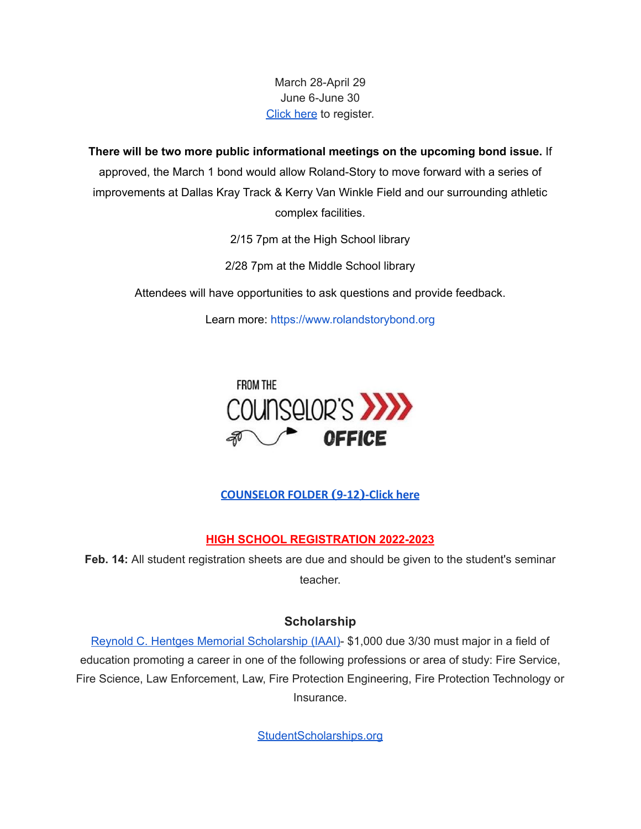## March 28-April 29 June 6-June 30 [Click](http://streetsmartsdriversed.com/) here to register.

**There will be two more public informational meetings on the upcoming bond issue.** If approved, the March 1 bond would allow Roland-Story to move forward with a series of improvements at Dallas Kray Track & Kerry Van Winkle Field and our surrounding athletic complex facilities.

2/15 7pm at the High School library

2/28 7pm at the Middle School library

Attendees will have opportunities to ask questions and provide feedback.

Learn more: [https://www.rolandstorybond.org](https://www.rolandstorybond.org/?fbclid=IwAR3AJHhy8S8KvQsof-Z44UTrIBXDkOZFSdMyUXMovrg0bH3FkvkTprNkFuM)



**[COUNSELOR FOLDER](https://docs.google.com/document/d/1vmwczNPbDzXe9vFaG5LJMQ7NYDv-i4oQJHybqA65TUc/edit?usp=sharing) (9-12)-Click here**

## **HIGH SCHOOL REGISTRATION 2022-2023**

**Feb. 14:** All student registration sheets are due and should be given to the student's seminar teacher.

### **Scholarship**

Reynold C. Hentges Memorial [Scholarship](https://drive.google.com/file/d/1hjWI_srze5__tTjHVbJ5z3zd1-S63qlS/view?usp=sharing) (IAAI)- \$1,000 due 3/30 must major in a field of education promoting a career in one of the following professions or area of study: Fire Service, Fire Science, Law Enforcement, Law, Fire Protection Engineering, Fire Protection Technology or Insurance.

[StudentScholarships.org](https://drive.google.com/file/d/1hV3dZAuh9FIeLf132rgQi86QgS7AQzZD/view?usp=sharing)